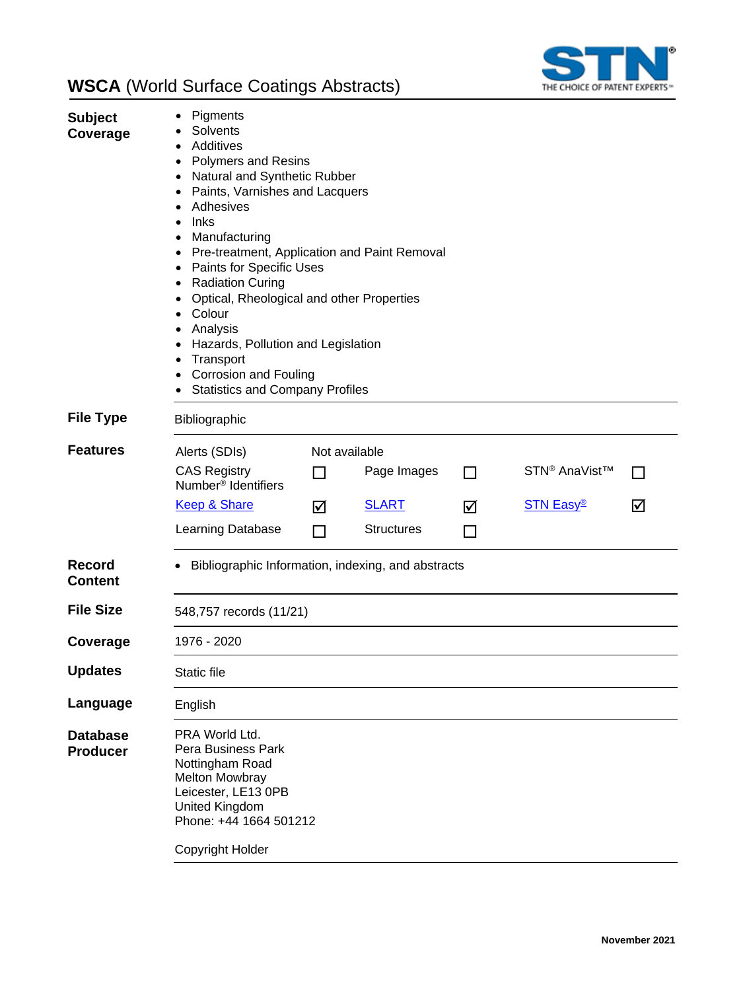

| <b>Subject</b><br>Coverage         | Pigments<br>Solvents<br>Additives<br><b>Polymers and Resins</b><br>Natural and Synthetic Rubber<br>٠<br>Paints, Varnishes and Lacquers<br>٠<br>Adhesives<br>Inks<br>$\bullet$<br>Manufacturing<br>$\bullet$<br>Pre-treatment, Application and Paint Removal<br>$\bullet$<br><b>Paints for Specific Uses</b><br>$\bullet$<br><b>Radiation Curing</b><br>٠<br>Optical, Rheological and other Properties<br>Colour<br>٠<br>Analysis<br>٠<br>Hazards, Pollution and Legislation<br>٠<br>Transport<br>٠<br><b>Corrosion and Fouling</b><br><b>Statistics and Company Profiles</b> |                                 |                                                  |                          |                                               |                   |
|------------------------------------|------------------------------------------------------------------------------------------------------------------------------------------------------------------------------------------------------------------------------------------------------------------------------------------------------------------------------------------------------------------------------------------------------------------------------------------------------------------------------------------------------------------------------------------------------------------------------|---------------------------------|--------------------------------------------------|--------------------------|-----------------------------------------------|-------------------|
| <b>File Type</b>                   | Bibliographic                                                                                                                                                                                                                                                                                                                                                                                                                                                                                                                                                                |                                 |                                                  |                          |                                               |                   |
| <b>Features</b>                    | Alerts (SDIs)<br><b>CAS Registry</b><br>Number <sup>®</sup> Identifiers<br><b>Keep &amp; Share</b><br>Learning Database                                                                                                                                                                                                                                                                                                                                                                                                                                                      | Not available<br>ΙI<br>☑<br>l I | Page Images<br><b>SLART</b><br><b>Structures</b> | П<br>☑<br>$\blacksquare$ | STN <sup>®</sup> AnaVist™<br><b>STN Easy®</b> | $\mathbf{I}$<br>☑ |
| Record<br>Content                  | Bibliographic Information, indexing, and abstracts                                                                                                                                                                                                                                                                                                                                                                                                                                                                                                                           |                                 |                                                  |                          |                                               |                   |
| <b>File Size</b>                   | 548,757 records (11/21)                                                                                                                                                                                                                                                                                                                                                                                                                                                                                                                                                      |                                 |                                                  |                          |                                               |                   |
| Coverage                           | 1976 - 2020                                                                                                                                                                                                                                                                                                                                                                                                                                                                                                                                                                  |                                 |                                                  |                          |                                               |                   |
| <b>Updates</b>                     | Static file                                                                                                                                                                                                                                                                                                                                                                                                                                                                                                                                                                  |                                 |                                                  |                          |                                               |                   |
| Language                           | English                                                                                                                                                                                                                                                                                                                                                                                                                                                                                                                                                                      |                                 |                                                  |                          |                                               |                   |
| <b>Database</b><br><b>Producer</b> | PRA World Ltd.<br>Pera Business Park<br>Nottingham Road<br>Melton Mowbray<br>Leicester, LE13 0PB<br><b>United Kingdom</b><br>Phone: +44 1664 501212<br>Copyright Holder                                                                                                                                                                                                                                                                                                                                                                                                      |                                 |                                                  |                          |                                               |                   |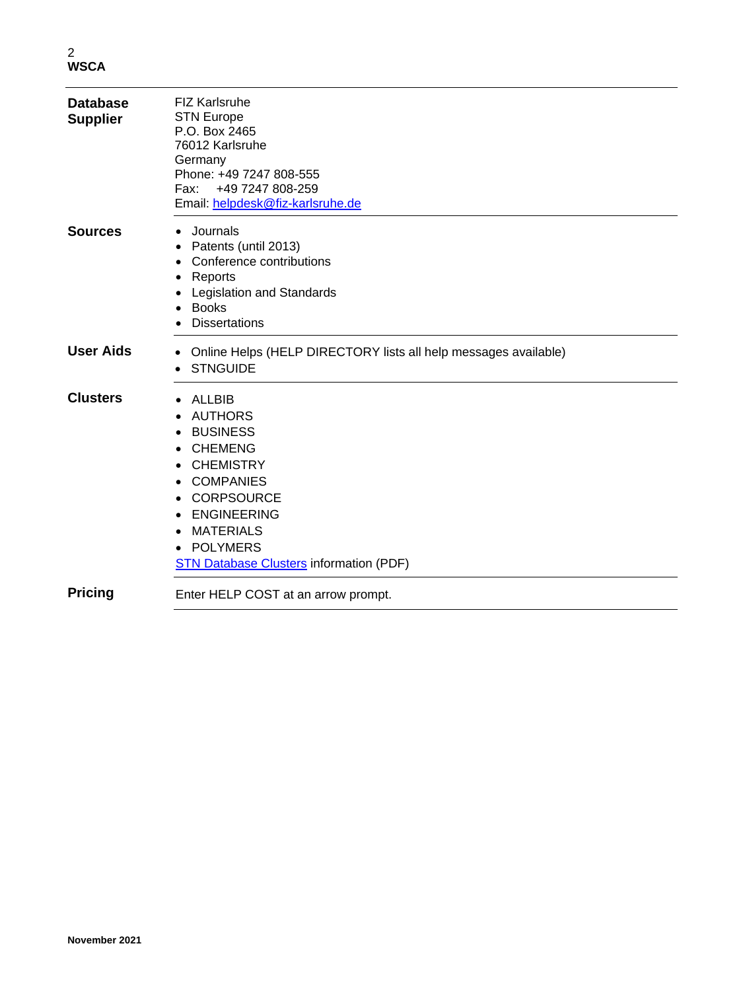2 **WSCA**

| <b>Database</b><br><b>Supplier</b> | <b>FIZ Karlsruhe</b><br><b>STN Europe</b><br>P.O. Box 2465<br>76012 Karlsruhe<br>Germany<br>Phone: +49 7247 808-555<br>+49 7247 808-259<br>Fax:<br>Email: helpdesk@fiz-karlsruhe.de                                                              |
|------------------------------------|--------------------------------------------------------------------------------------------------------------------------------------------------------------------------------------------------------------------------------------------------|
| <b>Sources</b>                     | Journals<br>Patents (until 2013)<br>Conference contributions<br>$\bullet$<br>Reports<br>Legislation and Standards<br><b>Books</b><br><b>Dissertations</b>                                                                                        |
| <b>User Aids</b>                   | Online Helps (HELP DIRECTORY lists all help messages available)<br>٠<br><b>STNGUIDE</b>                                                                                                                                                          |
| <b>Clusters</b>                    | <b>ALLBIB</b><br><b>AUTHORS</b><br><b>BUSINESS</b><br><b>CHEMENG</b><br><b>CHEMISTRY</b><br><b>COMPANIES</b><br><b>CORPSOURCE</b><br><b>ENGINEERING</b><br><b>MATERIALS</b><br><b>POLYMERS</b><br><b>STN Database Clusters information (PDF)</b> |
| <b>Pricing</b>                     | Enter HELP COST at an arrow prompt.                                                                                                                                                                                                              |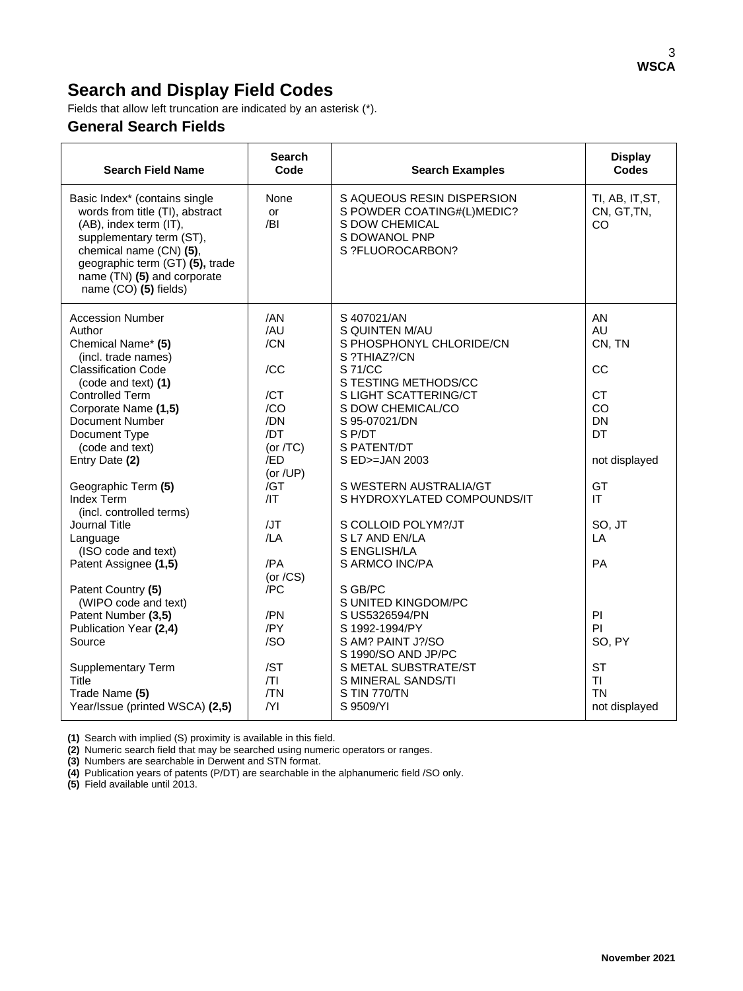## **Search and Display Field Codes**

Fields that allow left truncation are indicated by an asterisk (\*).

### **General Search Fields**

| <b>Search Field Name</b>                                                                                                                                                                                                                     | <b>Search</b><br>Code | <b>Search Examples</b>                                                                                          | <b>Display</b><br><b>Codes</b>       |
|----------------------------------------------------------------------------------------------------------------------------------------------------------------------------------------------------------------------------------------------|-----------------------|-----------------------------------------------------------------------------------------------------------------|--------------------------------------|
| Basic Index* (contains single<br>words from title (TI), abstract<br>(AB), index term (IT),<br>supplementary term (ST),<br>chemical name (CN) (5),<br>geographic term (GT) (5), trade<br>name (TN) (5) and corporate<br>name (CO) (5) fields) | None<br>or<br>/BI     | S AQUEOUS RESIN DISPERSION<br>S POWDER COATING#(L)MEDIC?<br>S DOW CHEMICAL<br>S DOWANOL PNP<br>S ?FLUOROCARBON? | TI, AB, IT, ST,<br>CN, GT, TN,<br>CO |
| <b>Accession Number</b>                                                                                                                                                                                                                      | /AN                   | S 407021/AN                                                                                                     | AN                                   |
| Author<br>Chemical Name* (5)                                                                                                                                                                                                                 | /AU<br>/CN            | S QUINTEN M/AU<br>S PHOSPHONYL CHLORIDE/CN                                                                      | AU<br>CN, TN                         |
| (incl. trade names)<br><b>Classification Code</b>                                                                                                                                                                                            | /CC                   | S ?THIAZ?/CN<br>S 71/CC                                                                                         | CC                                   |
| (code and text) (1)                                                                                                                                                                                                                          |                       | S TESTING METHODS/CC                                                                                            |                                      |
| <b>Controlled Term</b><br>Corporate Name (1,5)                                                                                                                                                                                               | /CT<br>/CO            | S LIGHT SCATTERING/CT<br>S DOW CHEMICAL/CO                                                                      | <b>CT</b><br>CO                      |
| Document Number                                                                                                                                                                                                                              | /DN                   | S 95-07021/DN                                                                                                   | <b>DN</b>                            |
| Document Type                                                                                                                                                                                                                                | /DT                   | S P/DT                                                                                                          | DT                                   |
| (code and text)                                                                                                                                                                                                                              | (or $/TC$ )           | S PATENT/DT                                                                                                     |                                      |
| Entry Date (2)                                                                                                                                                                                                                               | /ED<br>(or /UP)       | S ED>=JAN 2003                                                                                                  | not displayed                        |
| Geographic Term (5)                                                                                                                                                                                                                          | /GT                   | S WESTERN AUSTRALIA/GT                                                                                          | GT                                   |
| Index Term<br>(incl. controlled terms)                                                                                                                                                                                                       | /IT                   | S HYDROXYLATED COMPOUNDS/IT                                                                                     | IT                                   |
| Journal Title                                                                                                                                                                                                                                | /JT                   | S COLLOID POLYM?/JT                                                                                             | SO, JT                               |
| Language                                                                                                                                                                                                                                     | /LA                   | S L7 AND EN/LA<br>S ENGLISH/LA                                                                                  | LA                                   |
| (ISO code and text)<br>Patent Assignee (1,5)                                                                                                                                                                                                 | /PA                   | S ARMCO INC/PA                                                                                                  | PA                                   |
|                                                                                                                                                                                                                                              | (or $/CS$ )           |                                                                                                                 |                                      |
| Patent Country (5)<br>(WIPO code and text)                                                                                                                                                                                                   | /PC                   | S GB/PC<br>S UNITED KINGDOM/PC                                                                                  |                                      |
| Patent Number (3,5)                                                                                                                                                                                                                          | /PN                   | S US5326594/PN                                                                                                  | P <sub>1</sub>                       |
| Publication Year (2,4)                                                                                                                                                                                                                       | /PY                   | S 1992-1994/PY                                                                                                  | PI                                   |
| Source                                                                                                                                                                                                                                       | /SO                   | S AM? PAINT J?/SO<br>S 1990/SO AND JP/PC                                                                        | SO, PY                               |
| <b>Supplementary Term</b>                                                                                                                                                                                                                    | /ST                   | S METAL SUBSTRATE/ST                                                                                            | <b>ST</b>                            |
| <b>Title</b>                                                                                                                                                                                                                                 | T                     | S MINERAL SANDS/TI                                                                                              | TI                                   |
| Trade Name (5)                                                                                                                                                                                                                               | /TN                   | S TIN 770/TN                                                                                                    | <b>TN</b>                            |
| Year/Issue (printed WSCA) (2,5)                                                                                                                                                                                                              | Y                     | S 9509/YI                                                                                                       | not displayed                        |

**(1)** Search with implied (S) proximity is available in this field.

**(2)** Numeric search field that may be searched using numeric operators or ranges.

**(3)** Numbers are searchable in Derwent and STN format.

**(4)** Publication years of patents (P/DT) are searchable in the alphanumeric field /SO only.

**(5)** Field available until 2013.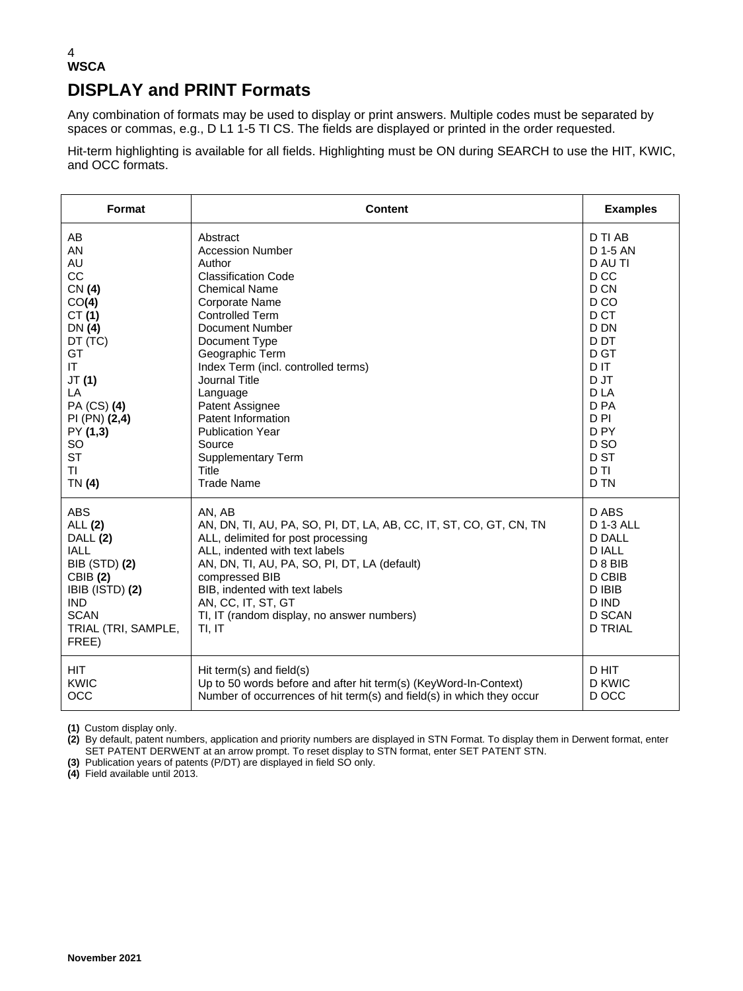### 4 **WSCA DISPLAY and PRINT Formats**

Any combination of formats may be used to display or print answers. Multiple codes must be separated by spaces or commas, e.g., D L1 1-5 TI CS. The fields are displayed or printed in the order requested.

Hit-term highlighting is available for all fields. Highlighting must be ON during SEARCH to use the HIT, KWIC, and OCC formats.

| Format                                                                                                                                                                      | Content                                                                                                                                                                                                                                                                                                                                | <b>Examples</b>                                                                                                                        |
|-----------------------------------------------------------------------------------------------------------------------------------------------------------------------------|----------------------------------------------------------------------------------------------------------------------------------------------------------------------------------------------------------------------------------------------------------------------------------------------------------------------------------------|----------------------------------------------------------------------------------------------------------------------------------------|
| AB                                                                                                                                                                          | Abstract                                                                                                                                                                                                                                                                                                                               | D TI AB                                                                                                                                |
| <b>AN</b>                                                                                                                                                                   | <b>Accession Number</b>                                                                                                                                                                                                                                                                                                                | D 1-5 AN                                                                                                                               |
| AU                                                                                                                                                                          | Author                                                                                                                                                                                                                                                                                                                                 | D AU TI                                                                                                                                |
| CC                                                                                                                                                                          | <b>Classification Code</b>                                                                                                                                                                                                                                                                                                             | D <sub>CC</sub>                                                                                                                        |
| CN (4)                                                                                                                                                                      | <b>Chemical Name</b>                                                                                                                                                                                                                                                                                                                   | D CN                                                                                                                                   |
| CO(4)                                                                                                                                                                       | Corporate Name                                                                                                                                                                                                                                                                                                                         | D <sub>CO</sub>                                                                                                                        |
| CT(1)                                                                                                                                                                       | <b>Controlled Term</b>                                                                                                                                                                                                                                                                                                                 | D CT                                                                                                                                   |
| DN (4)                                                                                                                                                                      | <b>Document Number</b>                                                                                                                                                                                                                                                                                                                 | D DN                                                                                                                                   |
| DT (TC)                                                                                                                                                                     | Document Type                                                                                                                                                                                                                                                                                                                          | D DT                                                                                                                                   |
| GT                                                                                                                                                                          | Geographic Term                                                                                                                                                                                                                                                                                                                        | D GT                                                                                                                                   |
| IT.                                                                                                                                                                         | Index Term (incl. controlled terms)                                                                                                                                                                                                                                                                                                    | D IT                                                                                                                                   |
| JT(1)                                                                                                                                                                       | Journal Title                                                                                                                                                                                                                                                                                                                          | D JT                                                                                                                                   |
| LA                                                                                                                                                                          | Language                                                                                                                                                                                                                                                                                                                               | D <sub>LA</sub>                                                                                                                        |
| PA (CS) (4)                                                                                                                                                                 | Patent Assignee                                                                                                                                                                                                                                                                                                                        | D <sub>PA</sub>                                                                                                                        |
| PI (PN) (2,4)                                                                                                                                                               | Patent Information                                                                                                                                                                                                                                                                                                                     | D <sub>PI</sub>                                                                                                                        |
| PY (1,3)                                                                                                                                                                    | <b>Publication Year</b>                                                                                                                                                                                                                                                                                                                | D <sub>PY</sub>                                                                                                                        |
| SO                                                                                                                                                                          | Source                                                                                                                                                                                                                                                                                                                                 | D <sub>SO</sub>                                                                                                                        |
| <b>ST</b>                                                                                                                                                                   | <b>Supplementary Term</b>                                                                                                                                                                                                                                                                                                              | D ST                                                                                                                                   |
| ΤI                                                                                                                                                                          | <b>Title</b>                                                                                                                                                                                                                                                                                                                           | D <sub>TI</sub>                                                                                                                        |
| TN (4)                                                                                                                                                                      | <b>Trade Name</b>                                                                                                                                                                                                                                                                                                                      | D TN                                                                                                                                   |
| <b>ABS</b><br>ALL (2)<br>DALL (2)<br><b>IALL</b><br><b>BIB (STD) (2)</b><br><b>CBIB (2)</b><br>IBIB (ISTD) (2)<br><b>IND</b><br><b>SCAN</b><br>TRIAL (TRI, SAMPLE,<br>FREE) | AN, AB<br>AN, DN, TI, AU, PA, SO, PI, DT, LA, AB, CC, IT, ST, CO, GT, CN, TN<br>ALL, delimited for post processing<br>ALL, indented with text labels<br>AN, DN, TI, AU, PA, SO, PI, DT, LA (default)<br>compressed BIB<br>BIB, indented with text labels<br>AN, CC, IT, ST, GT<br>TI, IT (random display, no answer numbers)<br>TI, IT | D ABS<br><b>D 1-3 ALL</b><br><b>D DALL</b><br><b>D IALL</b><br>D 8 BIB<br>D CBIB<br>D IBIB<br>D IND<br><b>D SCAN</b><br><b>D TRIAL</b> |
| <b>HIT</b>                                                                                                                                                                  | Hit term(s) and field(s)                                                                                                                                                                                                                                                                                                               | D HIT                                                                                                                                  |
| <b>KWIC</b>                                                                                                                                                                 | Up to 50 words before and after hit term(s) (KeyWord-In-Context)                                                                                                                                                                                                                                                                       | D KWIC                                                                                                                                 |
| <b>OCC</b>                                                                                                                                                                  | Number of occurrences of hit term(s) and field(s) in which they occur                                                                                                                                                                                                                                                                  | D OCC                                                                                                                                  |

**(1)** Custom display only.

**(2)** By default, patent numbers, application and priority numbers are displayed in STN Format. To display them in Derwent format, enter SET PATENT DERWENT at an arrow prompt. To reset display to STN format, enter SET PATENT STN.

**(3)** Publication years of patents (P/DT) are displayed in field SO only.

**(4)** Field available until 2013.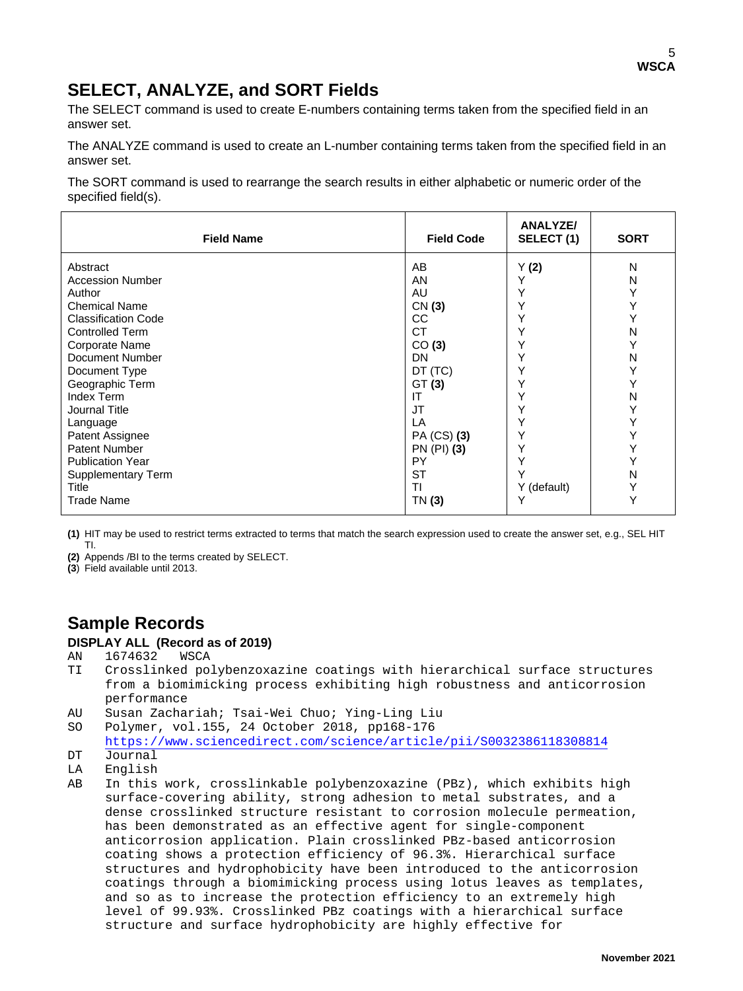## **SELECT, ANALYZE, and SORT Fields**

The SELECT command is used to create E-numbers containing terms taken from the specified field in an answer set.

The ANALYZE command is used to create an L-number containing terms taken from the specified field in an answer set.

The SORT command is used to rearrange the search results in either alphabetic or numeric order of the specified field(s).

| <b>Field Name</b>                                      | <b>Field Code</b>     | <b>ANALYZE/</b><br>SELECT(1) | <b>SORT</b> |
|--------------------------------------------------------|-----------------------|------------------------------|-------------|
| Abstract                                               | AB                    | Y(2)                         | N           |
| <b>Accession Number</b>                                | AN                    | Y                            | N           |
| Author                                                 | AU                    | Υ                            | Y           |
| <b>Chemical Name</b>                                   | CN(3)                 | Y                            | N           |
| <b>Classification Code</b>                             | CC.                   | Υ                            |             |
| <b>Controlled Term</b>                                 | <b>CT</b>             | Υ                            |             |
| Corporate Name                                         | CO(3)                 | Υ                            | Ν           |
| Document Number                                        | <b>DN</b>             | Υ                            |             |
| Document Type                                          | DT (TC)               | Υ                            |             |
| Geographic Term                                        | GT(3)                 | Υ                            | Ν           |
| Index Term                                             | ΙT                    | Υ                            |             |
| Journal Title                                          | <b>JT</b>             | Υ                            |             |
| Language                                               | LA                    | Υ                            |             |
| Patent Assignee                                        | PA (CS) (3)           | Υ                            |             |
| Patent Number                                          | PN (PI) (3)           | Υ                            |             |
| <b>Publication Year</b><br>Supplementary Term<br>Title | PY<br><b>ST</b><br>ΤI | Y<br>Y (default)             | Ν<br>Y      |
| Trade Name                                             | TN (3)                |                              | Υ           |

**(1)** HIT may be used to restrict terms extracted to terms that match the search expression used to create the answer set, e.g., SEL HIT TI.

**(2)** Appends /BI to the terms created by SELECT.

**(3**) Field available until 2013.

## **Sample Records**

#### **DISPLAY ALL (Record as of 2019)**

AN 1674632 WSCA

- TI Crosslinked polybenzoxazine coatings with hierarchical surface structures from a biomimicking process exhibiting high robustness and anticorrosion performance<br>AU Susan Zacha
- 

```
AU Susan Zachariah; Tsai-Wei Chuo; Ying-Ling Liu
    Polymer, vol.155, 24 October 2018, pp168-176
```
<https://www.sciencedirect.com/science/article/pii/S0032386118308814>

- DT Journal<br>LA English
- LA English<br>AB In this
- In this work, crosslinkable polybenzoxazine (PBz), which exhibits high surface-covering ability, strong adhesion to metal substrates, and a dense crosslinked structure resistant to corrosion molecule permeation, has been demonstrated as an effective agent for single-component anticorrosion application. Plain crosslinked PBz-based anticorrosion coating shows a protection efficiency of 96.3%. Hierarchical surface structures and hydrophobicity have been introduced to the anticorrosion coatings through a biomimicking process using lotus leaves as templates, and so as to increase the protection efficiency to an extremely high level of 99.93%. Crosslinked PBz coatings with a hierarchical surface structure and surface hydrophobicity are highly effective for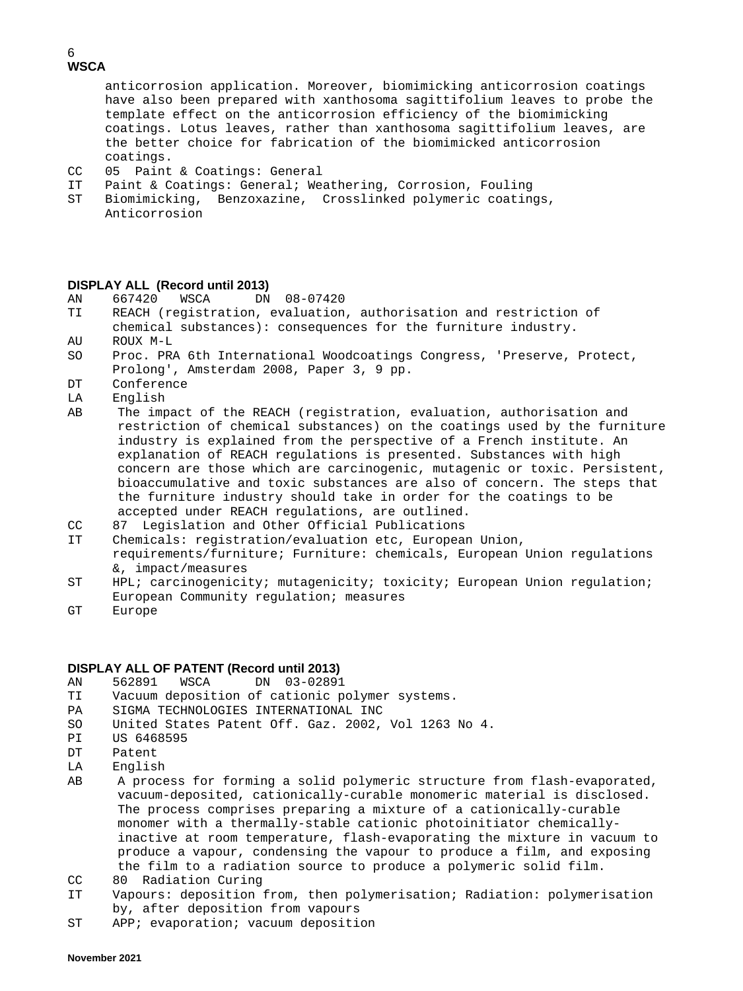#### 6 **WSCA**

 anticorrosion application. Moreover, biomimicking anticorrosion coatings have also been prepared with xanthosoma sagittifolium leaves to probe the template effect on the anticorrosion efficiency of the biomimicking coatings. Lotus leaves, rather than xanthosoma sagittifolium leaves, are the better choice for fabrication of the biomimicked anticorrosion

- coatings.<br>CC 05 Paint CC 05 Paint & Coatings: General<br>IT Paint & Coatings: General; We
- Paint & Coatings: General; Weathering, Corrosion, Fouling
- ST Biomimicking, Benzoxazine, Crosslinked polymeric coatings, Anticorrosion

#### **DISPLAY ALL (Record until 2013)**

- AN 667420 WSCA DN 08-07420<br>TI REACH(registration, evaluation
- REACH (registration, evaluation, authorisation and restriction of chemical substances): consequences for the furniture industry.<br>ROUX M-L
- AU ROUX M-L<br>SO Proc. PR
- Proc. PRA 6th International Woodcoatings Congress, 'Preserve, Protect, Prolong', Amsterdam 2008, Paper 3, 9 pp.
- DT Conference<br>LA English
- English
- AB The impact of the REACH (registration, evaluation, authorisation and restriction of chemical substances) on the coatings used by the furniture industry is explained from the perspective of a French institute. An explanation of REACH regulations is presented. Substances with high concern are those which are carcinogenic, mutagenic or toxic. Persistent, bioaccumulative and toxic substances are also of concern. The steps that the furniture industry should take in order for the coatings to be accepted under REACH regulations, are outlined.
- CC 87 Legislation and Other Official Publications
- IT Chemicals: registration/evaluation etc, European Union, requirements/furniture; Furniture: chemicals, European Union regulations &, impact/measures<br>ST HPL; carcinogenici
- HPL; carcinogenicity; mutagenicity; toxicity; European Union regulation; European Community regulation; measures<br>
GT Furope
- Europe

# **DISPLAY ALL OF PATENT (Record until 2013)**

- AN 562891 WSCA DN 03-02891<br>TI Vacuum deposition of cationic p TI Vacuum deposition of cationic polymer systems.
- PA SIGMA TECHNOLOGIES INTERNATIONAL INC<br>SO United States Patent Off. Gaz. 2002.
- SO United States Patent Off. Gaz. 2002, Vol 1263 No 4.<br>PI IIS 6468595
- PI US 6468595<br>DT Patent
- Patent
- LA English
- AB A process for forming a solid polymeric structure from flash-evaporated, vacuum-deposited, cationically-curable monomeric material is disclosed. The process comprises preparing a mixture of a cationically-curable monomer with a thermally-stable cationic photoinitiator chemicallyinactive at room temperature, flash-evaporating the mixture in vacuum to produce a vapour, condensing the vapour to produce a film, and exposing the film to a radiation source to produce a polymeric solid film.
- CC 80 Radiation Curing<br>IT Vapours: deposition :
- Vapours: deposition from, then polymerisation; Radiation: polymerisation by, after deposition from vapours
- ST APP; evaporation; vacuum deposition